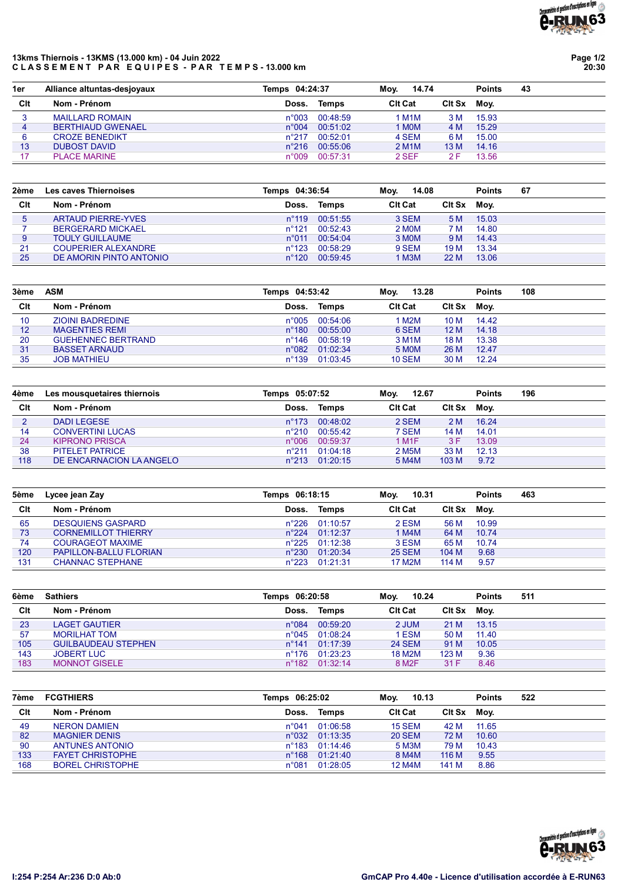## 13kms Thiernois - 13KMS (13.000 km) - 04 Juin 2022 CLASSEMENT PAR EQUIPES - PAR TEMPS-13.000 km

Page 1/2 20:30

| 1er | Alliance altuntas-desiovaux |                | Temps 04:24:37 |                    | 14.74<br>Mov. |       | 43 |
|-----|-----------------------------|----------------|----------------|--------------------|---------------|-------|----|
| Clt | Nom - Prénom                | Doss.          | Temps          | <b>CIt Cat</b>     | <b>CIt Sx</b> | Mov.  |    |
| 3   | <b>MAILLARD ROMAIN</b>      | $n^{\circ}003$ | 00:48:59       | I M1M              | 3 M           | 15.93 |    |
| 4   | <b>BERTHIAUD GWENAEL</b>    | $n^{\circ}004$ | 00:51:02       | 1 MOM              | 4 M           | 15.29 |    |
| 6   | <b>CROZE BENEDIKT</b>       | n°217          | 00:52:01       | 4 SEM              | 6 M           | 15.00 |    |
| 13  | <b>DUBOST DAVID</b>         | $n^{\circ}216$ | 00:55:06       | 2 M <sub>1</sub> M | 13 M          | 14.16 |    |
| 17  | <b>PLACE MARINE</b>         | n°009          | 00:57:31       | 2 SEF              | 2 F           | 13.56 |    |

| 2ème | Les caves Thiernoises      | Temps 04:36:54  |          | 14.08<br>Mov.  |             | <b>Points</b> | 67 |
|------|----------------------------|-----------------|----------|----------------|-------------|---------------|----|
| Clt  | Nom - Prénom               | Doss.           | Temps    | <b>CIt Cat</b> | Cit Sx Moy. |               |    |
| 5    | <b>ARTAUD PIERRE-YVES</b>  | $n^{\circ}$ 119 | 00:51:55 | 3 SEM          | 5 M         | 15.03         |    |
|      | <b>BERGERARD MICKAEL</b>   | $n^{\circ}121$  | 00:52:43 | 2 MOM          | 7 M         | 14.80         |    |
| 9    | <b>TOULY GUILLAUME</b>     | $n^{\circ}011$  | 00:54:04 | 3 MOM          | 9 M         | 14.43         |    |
| 21   | <b>COUPERIER ALEXANDRE</b> | $n^{\circ}123$  | 00:58:29 | 9 SEM          | 19 M        | 13.34         |    |
| 25   | DE AMORIN PINTO ANTONIO    | $n^{\circ}120$  | 00:59:45 | 1 M3M          | 22 M        | 13.06         |    |

| 3ème | ASM                       | Temps 04:53:42  |          | 13.28<br>Mov.      |        | <b>Points</b> | 108 |
|------|---------------------------|-----------------|----------|--------------------|--------|---------------|-----|
| Clt  | Nom - Prénom              | Doss.           | Temps    | <b>CIt Cat</b>     | Clt Sx | Mov.          |     |
| 10   | <b>ZIOINI BADREDINE</b>   | $n^{\circ}005$  | 00:54:06 | 1 M2M              | 10 M   | 14.42         |     |
| 12   | <b>MAGENTIES REMI</b>     | $n^{\circ}180$  | 00:55:00 | 6 SEM              | 12 M   | 14.18         |     |
| 20   | <b>GUEHENNEC BERTRAND</b> | $n^{\circ}$ 146 | 00:58:19 | 3 M <sub>1</sub> M | 18 M   | 13.38         |     |
| 31   | <b>BASSET ARNAUD</b>      | $n^{\circ}082$  | 01:02:34 | 5 MOM              | 26 M   | 12.47         |     |
| 35   | <b>JOB MATHIEU</b>        | $n^{\circ}$ 139 | 01:03:45 | <b>10 SEM</b>      | 30 M   | 12.24         |     |

| 4ème | Les mousquetaires thiernois | Temps 05:07:52  |                | 12.67<br>Mov.      |               | <b>Points</b> | 196 |
|------|-----------------------------|-----------------|----------------|--------------------|---------------|---------------|-----|
| Clt  | Nom - Prénom                | Doss.           | Temps          | <b>CIt Cat</b>     | <b>CIt Sx</b> | Moy.          |     |
| 2    | <b>DADI LEGESE</b>          | $n^{\circ}$ 173 | 00:48:02       | 2 SEM              | 2 M           | 16.24         |     |
| 14   | <b>CONVERTINI LUCAS</b>     | $n^{\circ}210$  | 00:55:42       | 7 SEM              | 14 M          | 14.01         |     |
| 24   | <b>KIPRONO PRISCA</b>       | $n^{\circ}006$  | 00:59:37       | 1 M1F              | 3 F           | 13.09         |     |
| 38   | <b>PITELET PATRICE</b>      | $n^{\circ}211$  | 01:04:18       | 2 M <sub>5</sub> M | 33 M          | 12.13         |     |
| 118  | DE ENCARNACION LA ANGELO    |                 | n°213 01:20:15 | 5 M4M              | 103 M         | 9.72          |     |

| 5ème | Lycee jean Zay                | Temps 06:18:15 |                         | 10.31<br>Mov.  |               | <b>Points</b> | 463 |
|------|-------------------------------|----------------|-------------------------|----------------|---------------|---------------|-----|
| Clt  | Nom - Prénom                  | Doss.          | Temps                   | <b>CIt Cat</b> | <b>CIt Sx</b> | Moy.          |     |
| 65   | <b>DESQUIENS GASPARD</b>      |                | n°226 01:10:57          | 2 ESM          | 56 M          | 10.99         |     |
| 73   | <b>CORNEMILLOT THIERRY</b>    |                | $n^{\circ}224$ 01:12:37 | 1 M4M          | 64 M          | 10.74         |     |
| 74   | <b>COURAGEOT MAXIME</b>       |                | $n^{\circ}225$ 01:12:38 | 3 ESM          | 65 M          | 10.74         |     |
| 120  | <b>PAPILLON-BALLU FLORIAN</b> |                | $n^{\circ}230$ 01:20:34 | <b>25 SEM</b>  | 104 M         | 9.68          |     |
| 131  | <b>CHANNAC STEPHANE</b>       |                | n°223 01:21:31          | 17 M2M         | 114 M         | 9.57          |     |

| <b>Sathiers</b>            |       |       | 10.24<br>Mov.                                                                                                     |       | <b>Points</b> | 511         |
|----------------------------|-------|-------|-------------------------------------------------------------------------------------------------------------------|-------|---------------|-------------|
| Nom - Prénom               | Doss. | Temps | <b>CIt Cat</b>                                                                                                    |       |               |             |
| <b>LAGET GAUTIER</b>       |       |       | 2 JUM                                                                                                             | 21 M  | 13.15         |             |
| <b>MORILHAT TOM</b>        |       |       | 1 ESM                                                                                                             | 50 M  | 11.40         |             |
| <b>GUILBAUDEAU STEPHEN</b> |       |       | <b>24 SEM</b>                                                                                                     | 91 M  | 10.05         |             |
| <b>JOBERT LUC</b>          |       |       | 18 M2M                                                                                                            | 123 M | 9.36          |             |
| <b>MONNOT GISELE</b>       |       |       | 8 M <sub>2</sub> F                                                                                                | 31 F  | 8.46          |             |
|                            |       |       | Temps 06:20:58<br>n°084 00:59:20<br>n°045 01:08:24<br>$n^{\circ}141$ 01:17:39<br>n°176 01:23:23<br>n°182 01:32:14 |       |               | Cit Sx Moy. |

| 7ème | <b>FCGTHIERS</b>        | Temps 06:25:02  |          | 10.13<br>Mov.  |               | <b>Points</b> | 522 |
|------|-------------------------|-----------------|----------|----------------|---------------|---------------|-----|
| Clt  | Nom - Prénom            | Doss.           | Temps    | <b>CIt Cat</b> | <b>CIt Sx</b> | Mov.          |     |
| 49   | <b>NERON DAMIEN</b>     | n°041           | 01:06:58 | <b>15 SEM</b>  | 42 M          | 11.65         |     |
| 82   | <b>MAGNIER DENIS</b>    | $n^{\circ}032$  | 01:13:35 | <b>20 SEM</b>  | 72 M          | 10.60         |     |
| 90   | <b>ANTUNES ANTONIO</b>  | $n^{\circ}$ 183 | 01.14.46 | 5 M3M          | 79 M          | 10.43         |     |
| 133  | <b>FAYET CHRISTOPHE</b> | $n^{\circ}168$  | 01:21:40 | 8 M4M          | 116 M         | 9.55          |     |
| 168  | <b>BOREL CHRISTOPHE</b> | $n^{\circ}081$  | 01:28:05 | <b>12 M4M</b>  | 141 M         | 8.86          |     |